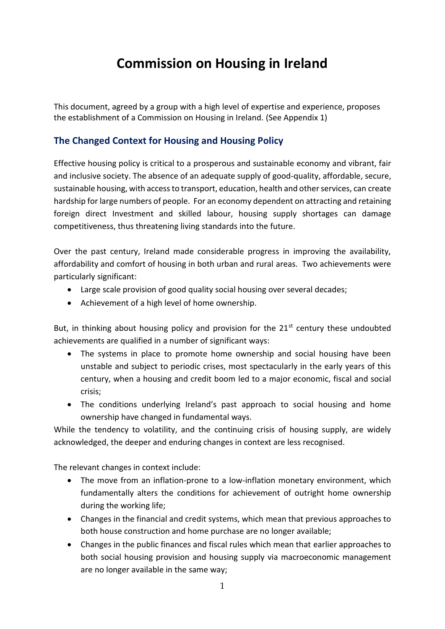# **Commission on Housing in Ireland**

This document, agreed by a group with a high level of expertise and experience, proposes the establishment of a Commission on Housing in Ireland. (See Appendix 1)

## **The Changed Context for Housing and Housing Policy**

Effective housing policy is critical to a prosperous and sustainable economy and vibrant, fair and inclusive society. The absence of an adequate supply of good-quality, affordable, secure, sustainable housing, with access to transport, education, health and other services, can create hardship for large numbers of people. For an economy dependent on attracting and retaining foreign direct Investment and skilled labour, housing supply shortages can damage competitiveness, thus threatening living standards into the future.

Over the past century, Ireland made considerable progress in improving the availability, affordability and comfort of housing in both urban and rural areas. Two achievements were particularly significant:

- Large scale provision of good quality social housing over several decades;
- Achievement of a high level of home ownership.

But, in thinking about housing policy and provision for the  $21<sup>st</sup>$  century these undoubted achievements are qualified in a number of significant ways:

- The systems in place to promote home ownership and social housing have been unstable and subject to periodic crises, most spectacularly in the early years of this century, when a housing and credit boom led to a major economic, fiscal and social crisis;
- The conditions underlying Ireland's past approach to social housing and home ownership have changed in fundamental ways.

While the tendency to volatility, and the continuing crisis of housing supply, are widely acknowledged, the deeper and enduring changes in context are less recognised.

The relevant changes in context include:

- The move from an inflation-prone to a low-inflation monetary environment, which fundamentally alters the conditions for achievement of outright home ownership during the working life;
- Changes in the financial and credit systems, which mean that previous approaches to both house construction and home purchase are no longer available;
- Changes in the public finances and fiscal rules which mean that earlier approaches to both social housing provision and housing supply via macroeconomic management are no longer available in the same way;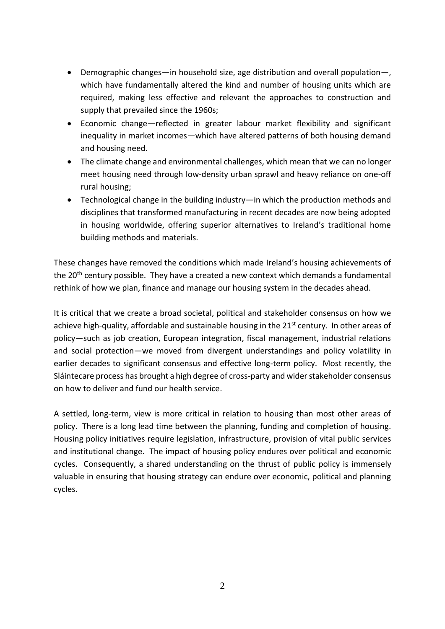- Demographic changes—in household size, age distribution and overall population—, which have fundamentally altered the kind and number of housing units which are required, making less effective and relevant the approaches to construction and supply that prevailed since the 1960s;
- Economic change—reflected in greater labour market flexibility and significant inequality in market incomes—which have altered patterns of both housing demand and housing need.
- The climate change and environmental challenges, which mean that we can no longer meet housing need through low-density urban sprawl and heavy reliance on one-off rural housing;
- Technological change in the building industry—in which the production methods and disciplines that transformed manufacturing in recent decades are now being adopted in housing worldwide, offering superior alternatives to Ireland's traditional home building methods and materials.

These changes have removed the conditions which made Ireland's housing achievements of the 20<sup>th</sup> century possible. They have a created a new context which demands a fundamental rethink of how we plan, finance and manage our housing system in the decades ahead.

It is critical that we create a broad societal, political and stakeholder consensus on how we achieve high-quality, affordable and sustainable housing in the 21<sup>st</sup> century. In other areas of policy—such as job creation, European integration, fiscal management, industrial relations and social protection—we moved from divergent understandings and policy volatility in earlier decades to significant consensus and effective long-term policy. Most recently, the Sláintecare process has brought a high degree of cross-party and wider stakeholder consensus on how to deliver and fund our health service.

A settled, long-term, view is more critical in relation to housing than most other areas of policy. There is a long lead time between the planning, funding and completion of housing. Housing policy initiatives require legislation, infrastructure, provision of vital public services and institutional change. The impact of housing policy endures over political and economic cycles. Consequently, a shared understanding on the thrust of public policy is immensely valuable in ensuring that housing strategy can endure over economic, political and planning cycles.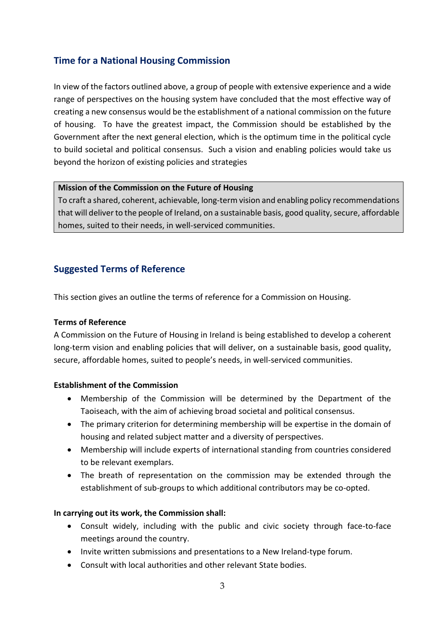## **Time for a National Housing Commission**

In view of the factors outlined above, a group of people with extensive experience and a wide range of perspectives on the housing system have concluded that the most effective way of creating a new consensus would be the establishment of a national commission on the future of housing. To have the greatest impact, the Commission should be established by the Government after the next general election, which is the optimum time in the political cycle to build societal and political consensus. Such a vision and enabling policies would take us beyond the horizon of existing policies and strategies

#### **Mission of the Commission on the Future of Housing**

To craft a shared, coherent, achievable, long-term vision and enabling policy recommendations that will deliver to the people of Ireland, on a sustainable basis, good quality, secure, affordable homes, suited to their needs, in well-serviced communities.

### **Suggested Terms of Reference**

This section gives an outline the terms of reference for a Commission on Housing.

#### **Terms of Reference**

A Commission on the Future of Housing in Ireland is being established to develop a coherent long-term vision and enabling policies that will deliver, on a sustainable basis, good quality, secure, affordable homes, suited to people's needs, in well-serviced communities.

#### **Establishment of the Commission**

- Membership of the Commission will be determined by the Department of the Taoiseach, with the aim of achieving broad societal and political consensus.
- The primary criterion for determining membership will be expertise in the domain of housing and related subject matter and a diversity of perspectives.
- Membership will include experts of international standing from countries considered to be relevant exemplars.
- The breath of representation on the commission may be extended through the establishment of sub-groups to which additional contributors may be co-opted.

#### **In carrying out its work, the Commission shall:**

- Consult widely, including with the public and civic society through face-to-face meetings around the country.
- Invite written submissions and presentations to a New Ireland-type forum.
- Consult with local authorities and other relevant State bodies.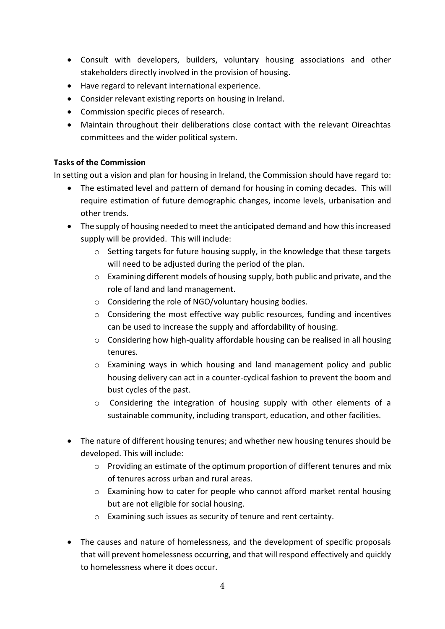- Consult with developers, builders, voluntary housing associations and other stakeholders directly involved in the provision of housing.
- Have regard to relevant international experience.
- Consider relevant existing reports on housing in Ireland.
- Commission specific pieces of research.
- Maintain throughout their deliberations close contact with the relevant Oireachtas committees and the wider political system.

#### **Tasks of the Commission**

In setting out a vision and plan for housing in Ireland, the Commission should have regard to:

- The estimated level and pattern of demand for housing in coming decades. This will require estimation of future demographic changes, income levels, urbanisation and other trends.
- The supply of housing needed to meet the anticipated demand and how this increased supply will be provided. This will include:
	- o Setting targets for future housing supply, in the knowledge that these targets will need to be adjusted during the period of the plan.
	- o Examining different models of housing supply, both public and private, and the role of land and land management.
	- o Considering the role of NGO/voluntary housing bodies.
	- o Considering the most effective way public resources, funding and incentives can be used to increase the supply and affordability of housing.
	- o Considering how high-quality affordable housing can be realised in all housing tenures.
	- o Examining ways in which housing and land management policy and public housing delivery can act in a counter-cyclical fashion to prevent the boom and bust cycles of the past.
	- o Considering the integration of housing supply with other elements of a sustainable community, including transport, education, and other facilities.
- The nature of different housing tenures; and whether new housing tenures should be developed. This will include:
	- o Providing an estimate of the optimum proportion of different tenures and mix of tenures across urban and rural areas.
	- o Examining how to cater for people who cannot afford market rental housing but are not eligible for social housing.
	- o Examining such issues as security of tenure and rent certainty.
- The causes and nature of homelessness, and the development of specific proposals that will prevent homelessness occurring, and that will respond effectively and quickly to homelessness where it does occur.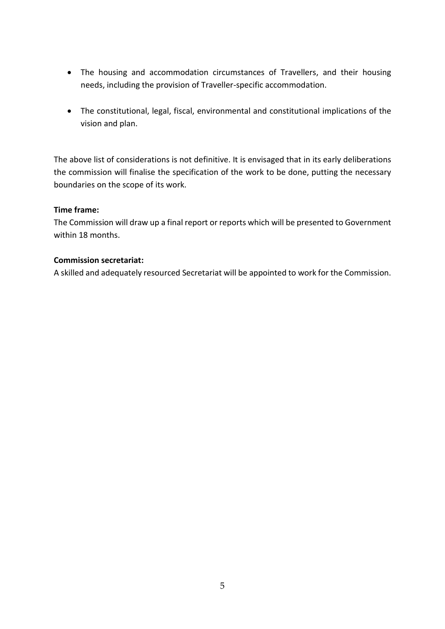- The housing and accommodation circumstances of Travellers, and their housing needs, including the provision of Traveller-specific accommodation.
- The constitutional, legal, fiscal, environmental and constitutional implications of the vision and plan.

The above list of considerations is not definitive. It is envisaged that in its early deliberations the commission will finalise the specification of the work to be done, putting the necessary boundaries on the scope of its work.

#### **Time frame:**

The Commission will draw up a final report or reports which will be presented to Government within 18 months.

#### **Commission secretariat:**

A skilled and adequately resourced Secretariat will be appointed to work for the Commission.